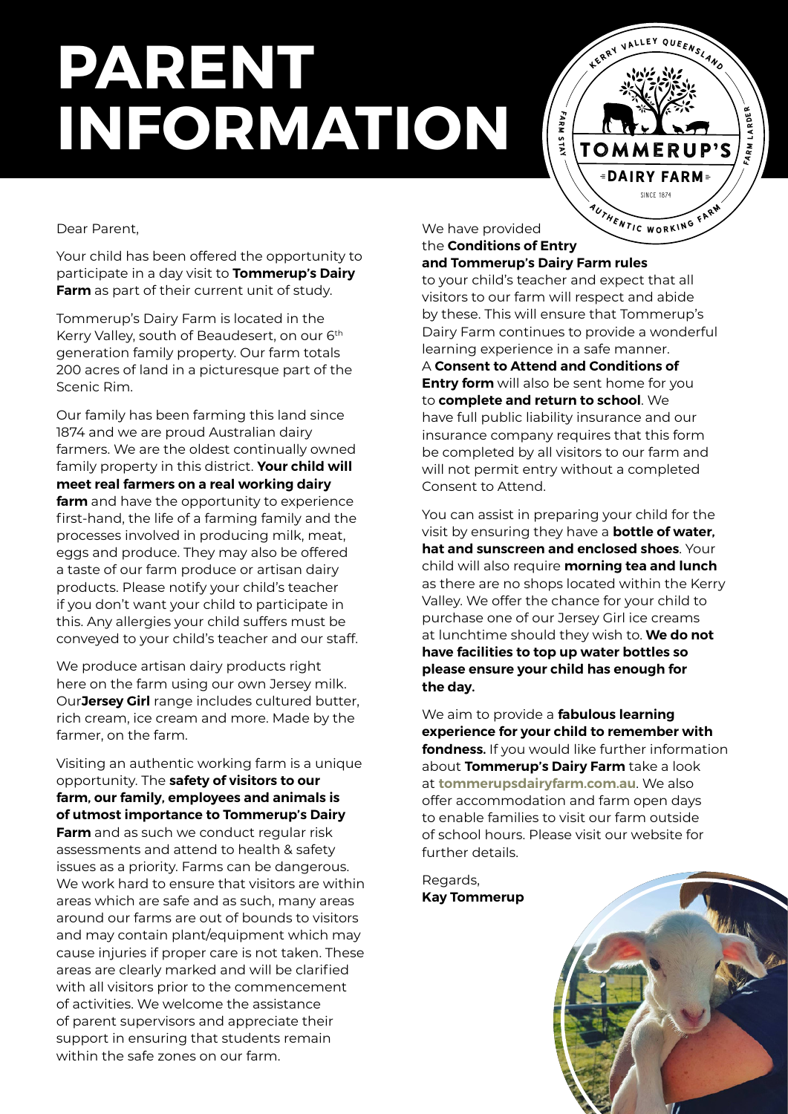# **PARENT INFORMATION**

Tommerup's **SINCE 1874** *<u>BDAIRY FARM</u>* AUTHENTIC WORKING FARM

LLEY QUEENSLAND

FARM LARDER

**ARM LARDER** 

Dear Parent,

Your child has been offered the opportunity to participate in a day visit to **Tommerup's Dairy Farm** as part of their current unit of study.

Tommerup's Dairy Farm is located in the Kerry Valley, south of Beaudesert, on our 6<sup>th</sup> generation family property. Our farm totals 200 acres of land in a picturesque part of the Scenic Rim.

Our family has been farming this land since 1874 and we are proud Australian dairy farmers. We are the oldest continually owned family property in this district. **Your child will meet real farmers on a real working dairy farm** and have the opportunity to experience first-hand, the life of a farming family and the processes involved in producing milk, meat, eggs and produce. They may also be offered a taste of our farm produce or artisan dairy products. Please notify your child's teacher if you don't want your child to participate in this. Any allergies your child suffers must be conveyed to your child's teacher and our staff.

We produce artisan dairy products right here on the farm using our own Jersey milk. Our**Jersey Girl** range includes cultured butter, rich cream, ice cream and more. Made by the farmer, on the farm.

Visiting an authentic working farm is a unique opportunity. The **safety of visitors to our farm, our family, employees and animals is of utmost importance to Tommerup's Dairy Farm** and as such we conduct regular risk assessments and attend to health & safety issues as a priority. Farms can be dangerous. We work hard to ensure that visitors are within areas which are safe and as such, many areas around our farms are out of bounds to visitors and may contain plant/equipment which may cause injuries if proper care is not taken. These areas are clearly marked and will be clarified with all visitors prior to the commencement of activities. We welcome the assistance of parent supervisors and appreciate their support in ensuring that students remain within the safe zones on our farm.

We have provided the **Conditions of Entry** 

**and Tommerup's Dairy Farm rules**  to your child's teacher and expect that all visitors to our farm will respect and abide by these. This will ensure that Tommerup's Dairy Farm continues to provide a wonderful learning experience in a safe manner.

fa r m s tay

A **Consent to Attend and Conditions of Entry form** will also be sent home for you to **complete and return to school**. We have full public liability insurance and our insurance company requires that this form be completed by all visitors to our farm and will not permit entry without a completed Consent to Attend.

You can assist in preparing your child for the visit by ensuring they have a **bottle of water, hat and sunscreen and enclosed shoes**. Your child will also require **morning tea and lunch**  as there are no shops located within the Kerry Valley. We offer the chance for your child to purchase one of our Jersey Girl ice creams at lunchtime should they wish to. **We do not have facilities to top up water bottles so please ensure your child has enough for the day.**

We aim to provide a **fabulous learning experience for your child to remember with fondness.** If you would like further information about **Tommerup's Dairy Farm** take a look at **<tommerupsdairyfarm.com.au>**. We also offer accommodation and farm open days to enable families to visit our farm outside of school hours. Please visit our website for further details.

Regards, **Kay Tommerup**

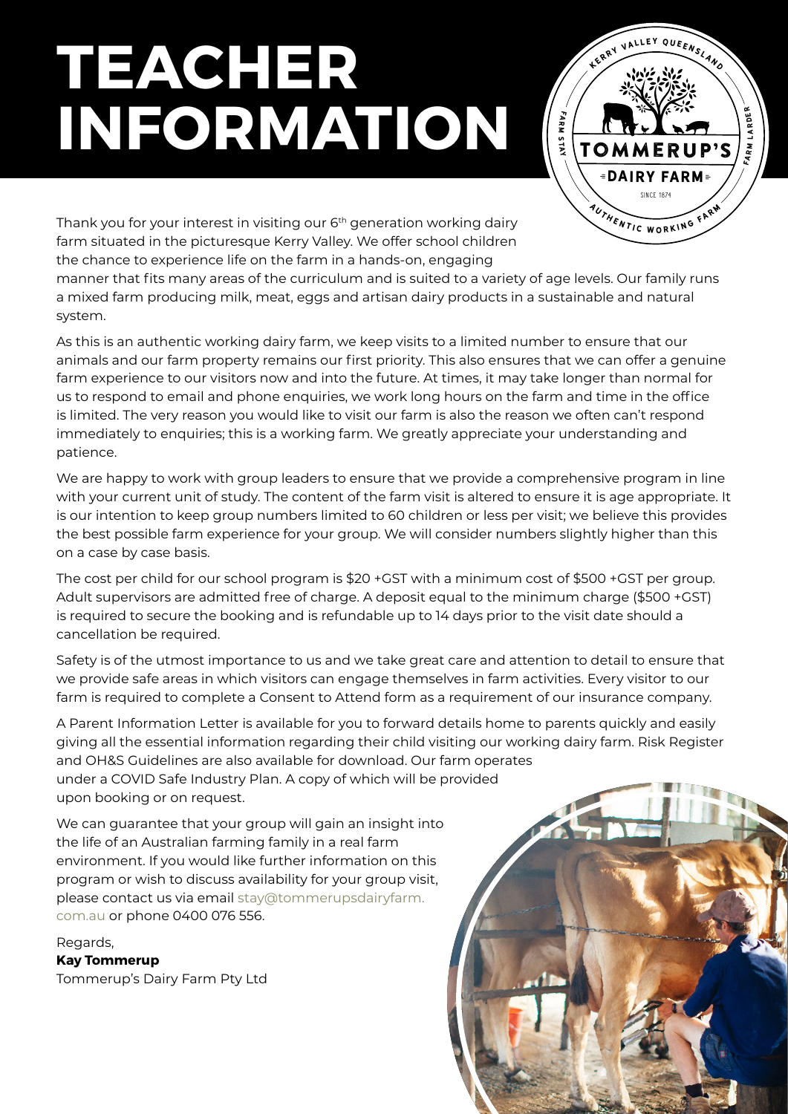# **TEACHER INFORMATION**



Thank you for your interest in visiting our 6<sup>th</sup> generation working dairy farm situated in the picturesque Kerry Valley. We offer school children the chance to experience life on the farm in a hands-on, engaging

manner that fits many areas of the curriculum and is suited to a variety of age levels. Our family runs a mixed farm producing milk, meat, eggs and artisan dairy products in a sustainable and natural system.

As this is an authentic working dairy farm, we keep visits to a limited number to ensure that our animals and our farm property remains our first priority. This also ensures that we can offer a genuine farm experience to our visitors now and into the future. At times, it may take longer than normal for us to respond to email and phone enquiries, we work long hours on the farm and time in the office is limited. The very reason you would like to visit our farm is also the reason we often can't respond immediately to enquiries; this is a working farm. We greatly appreciate your understanding and patience.

We are happy to work with group leaders to ensure that we provide a comprehensive program in line with your current unit of study. The content of the farm visit is altered to ensure it is age appropriate. It is our intention to keep group numbers limited to 60 children or less per visit; we believe this provides the best possible farm experience for your group. We will consider numbers slightly higher than this on a case by case basis.

The cost per child for our school program is \$20 +GST with a minimum cost of \$500 +GST per group. Adult supervisors are admitted free of charge. A deposit equal to the minimum charge (\$500 +GST) is required to secure the booking and is refundable up to 14 days prior to the visit date should a cancellation be required.

Safety is of the utmost importance to us and we take great care and attention to detail to ensure that we provide safe areas in which visitors can engage themselves in farm activities. Every visitor to our farm is required to complete a Consent to Attend form as a requirement of our insurance company.

A Parent Information Letter is available for you to forward details home to parents quickly and easily giving all the essential information regarding their child visiting our working dairy farm. Risk Register and OH&S Guidelines are also available for download. Our farm operates under a COVID Safe Industry Plan. A copy of which will be provided upon booking or on request.

We can guarantee that your group will gain an insight into the life of an Australian farming family in a real farm environment. If you would like further information on this program or wish to discuss availability for your group visit, please contact us via email [stay@tommerupsdairyfarm.](mailto:stay@tommerupsdairyfarm.com.au) [com.au](mailto:stay@tommerupsdairyfarm.com.au) or phone 0400 076 556.

Regards, **Kay Tommerup** Tommerup's Dairy Farm Pty Ltd

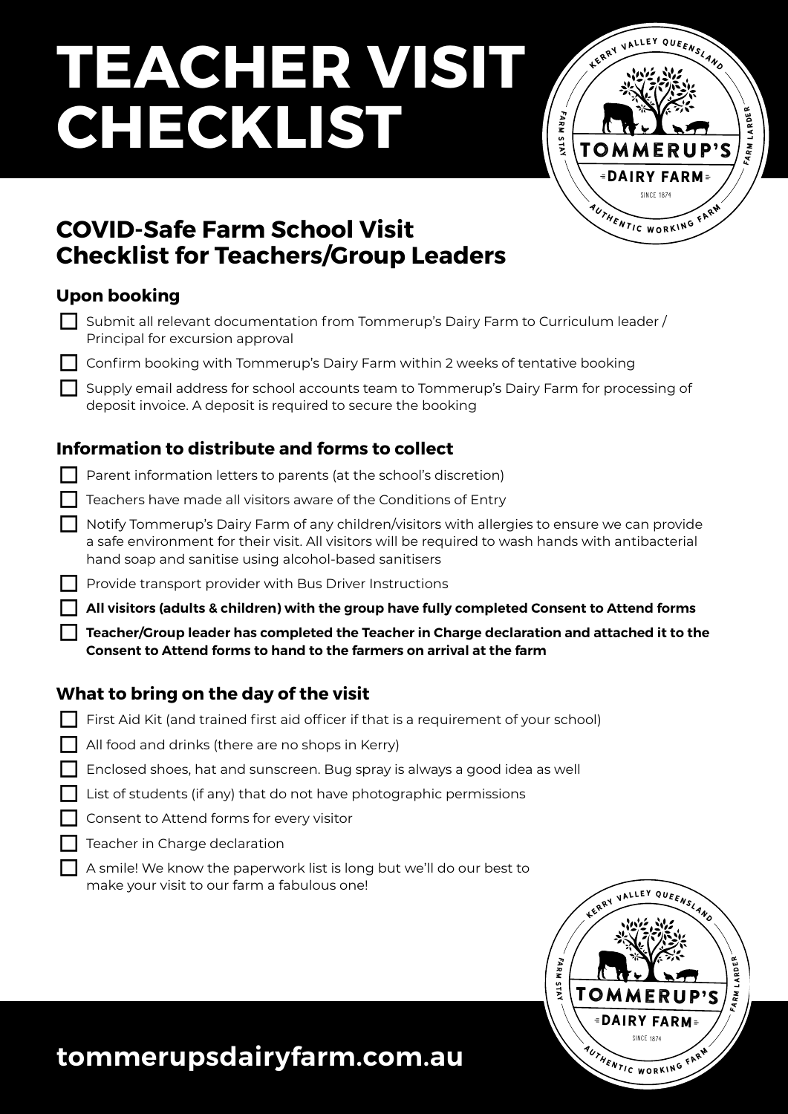# **TEACHER VISIT CHECKLIST**



### **COVID-Safe Farm School Visit Checklist for Teachers/Group Leaders**

#### **Upon booking**

| YYYII NYYNIIY                                                                       |
|-------------------------------------------------------------------------------------|
| Submit all relevant documentation from Tommerup's Dairy Farm to Curriculum leader / |
| Principal for excursion approval                                                    |

 $\Box$  Confirm booking with Tommerup's Dairy Farm within 2 weeks of tentative booking

Supply email address for school accounts team to Tommerup's Dairy Farm for processing of deposit invoice. A deposit is required to secure the booking

#### **Information to distribute and forms to collect**

- $\Box$  Parent information letters to parents (at the school's discretion)
- Teachers have made all visitors aware of the Conditions of Entry
- □ Notify Tommerup's Dairy Farm of any children/visitors with allergies to ensure we can provide a safe environment for their visit. All visitors will be required to wash hands with antibacterial hand soap and sanitise using alcohol-based sanitisers
- □ Provide transport provider with Bus Driver Instructions

□ **All visitors (adults & children) with the group have fully completed Consent to Attend forms**

□ **Teacher/Group leader has completed the Teacher in Charge declaration and attached it to the Consent to Attend forms to hand to the farmers on arrival at the farm**

#### **What to bring on the day of the visit**

- $\Box$  First Aid Kit (and trained first aid officer if that is a requirement of your school)
- $\Box$  All food and drinks (there are no shops in Kerry)
- Enclosed shoes, hat and sunscreen. Bug spray is always a good idea as well
- List of students (if any) that do not have photographic permissions
- Consent to Attend forms for every visitor
- Teacher in Charge declaration
	- A smile! We know the paperwork list is long but we'll do our best to make your visit to our farm a fabulous one!



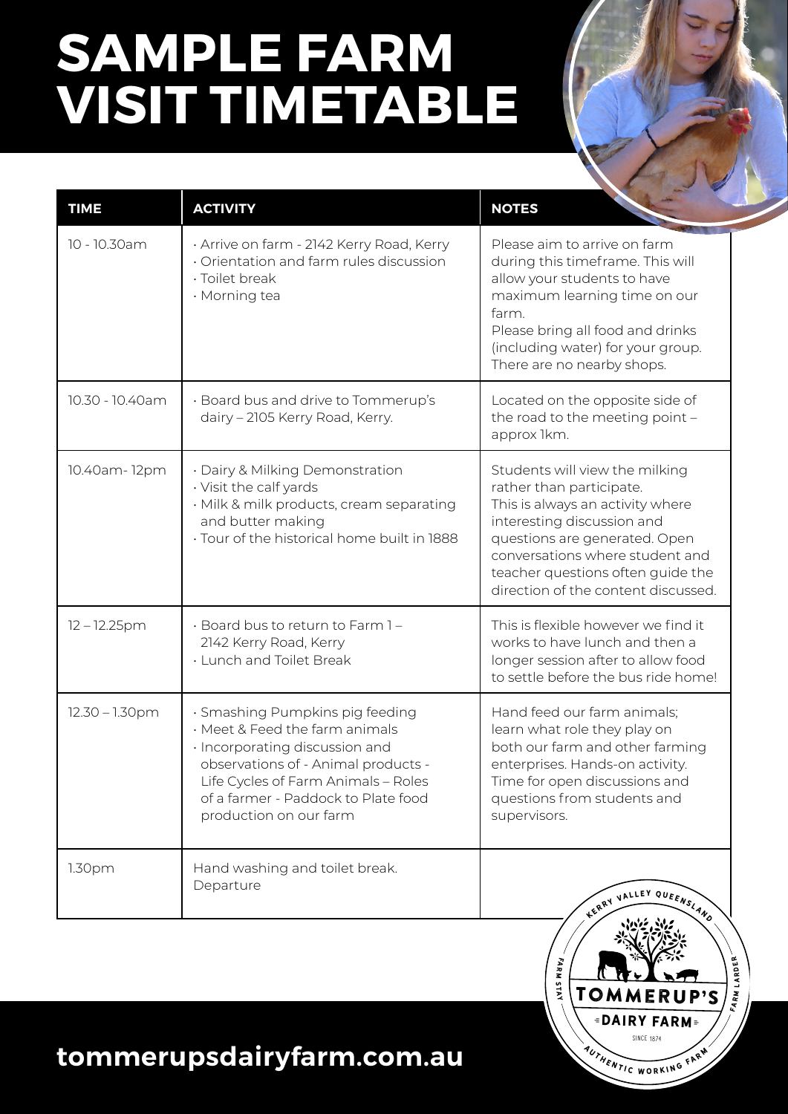# **SAMPLE FARM VISIT TIMETABLE**

| <b>TIME</b>       | <b>ACTIVITY</b>                                                                                                                                                                                                                                    | <b>NOTES</b>                                                                                                                                                                                                                                                                 |
|-------------------|----------------------------------------------------------------------------------------------------------------------------------------------------------------------------------------------------------------------------------------------------|------------------------------------------------------------------------------------------------------------------------------------------------------------------------------------------------------------------------------------------------------------------------------|
| 10 - 10.30am      | · Arrive on farm - 2142 Kerry Road, Kerry<br>Orientation and farm rules discussion<br>· Toilet break<br>· Morning tea                                                                                                                              | Please aim to arrive on farm<br>during this timeframe. This will<br>allow your students to have<br>maximum learning time on our<br>farm.<br>Please bring all food and drinks<br>(including water) for your group.<br>There are no nearby shops.                              |
| 10.30 - 10.40am   | · Board bus and drive to Tommerup's<br>dairy - 2105 Kerry Road, Kerry.                                                                                                                                                                             | Located on the opposite side of<br>the road to the meeting point -<br>approx 1km.                                                                                                                                                                                            |
| 10.40am-12pm      | · Dairy & Milking Demonstration<br>· Visit the calf yards<br>· Milk & milk products, cream separating<br>and butter making<br>· Tour of the historical home built in 1888                                                                          | Students will view the milking<br>rather than participate.<br>This is always an activity where<br>interesting discussion and<br>questions are generated. Open<br>conversations where student and<br>teacher questions often guide the<br>direction of the content discussed. |
| $12 - 12.25$ pm   | · Board bus to return to Farm 1-<br>2142 Kerry Road, Kerry<br>· Lunch and Toilet Break                                                                                                                                                             | This is flexible however we find it<br>works to have lunch and then a<br>longer session after to allow food<br>to settle before the bus ride home!                                                                                                                           |
| $12.30 - 1.30$ pm | · Smashing Pumpkins pig feeding<br>· Meet & Feed the farm animals<br>· Incorporating discussion and<br>observations of - Animal products -<br>Life Cycles of Farm Animals - Roles<br>of a farmer - Paddock to Plate food<br>production on our farm | Hand feed our farm animals;<br>learn what role they play on<br>both our farm and other farming<br>enterprises. Hands-on activity.<br>Time for open discussions and<br>questions from students and<br>supervisors.                                                            |
| 1.30pm            | Hand washing and toilet break.<br>Departure                                                                                                                                                                                                        | KERRY VALLEY QUEENSLAND<br>ANG NE                                                                                                                                                                                                                                            |



## **tommerupsdairyfarm.com.au**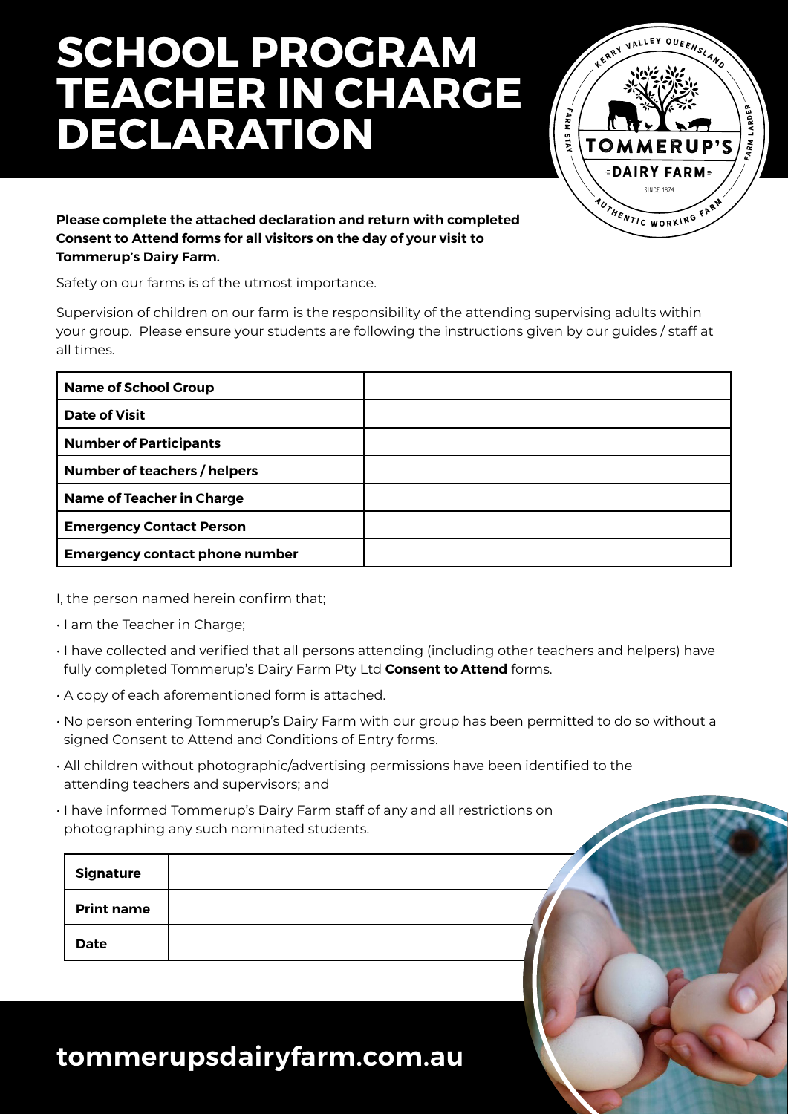# **SCHOOL PROGRAM TEACHER IN CHARGE DECLARATION**



#### **Please complete the attached declaration and return with completed Consent to Attend forms for all visitors on the day of your visit to Tommerup's Dairy Farm.**

Safety on our farms is of the utmost importance.

Supervision of children on our farm is the responsibility of the attending supervising adults within your group. Please ensure your students are following the instructions given by our guides / staff at all times.

| <b>Name of School Group</b>           |  |
|---------------------------------------|--|
| <b>Date of Visit</b>                  |  |
| <b>Number of Participants</b>         |  |
| Number of teachers / helpers          |  |
| <b>Name of Teacher in Charge</b>      |  |
| <b>Emergency Contact Person</b>       |  |
| <b>Emergency contact phone number</b> |  |

I, the person named herein confirm that;

- I am the Teacher in Charge;
- I have collected and verified that all persons attending (including other teachers and helpers) have fully completed Tommerup's Dairy Farm Pty Ltd **Consent to Attend** forms.
- A copy of each aforementioned form is attached.
- No person entering Tommerup's Dairy Farm with our group has been permitted to do so without a signed Consent to Attend and Conditions of Entry forms.
- All children without photographic/advertising permissions have been identified to the attending teachers and supervisors; and
- I have informed Tommerup's Dairy Farm staff of any and all restrictions on photographing any such nominated students.

| <b>Signature</b>  |  |  |
|-------------------|--|--|
| <b>Print name</b> |  |  |
| <b>Date</b>       |  |  |

### **tommerupsdairyfarm.com.au**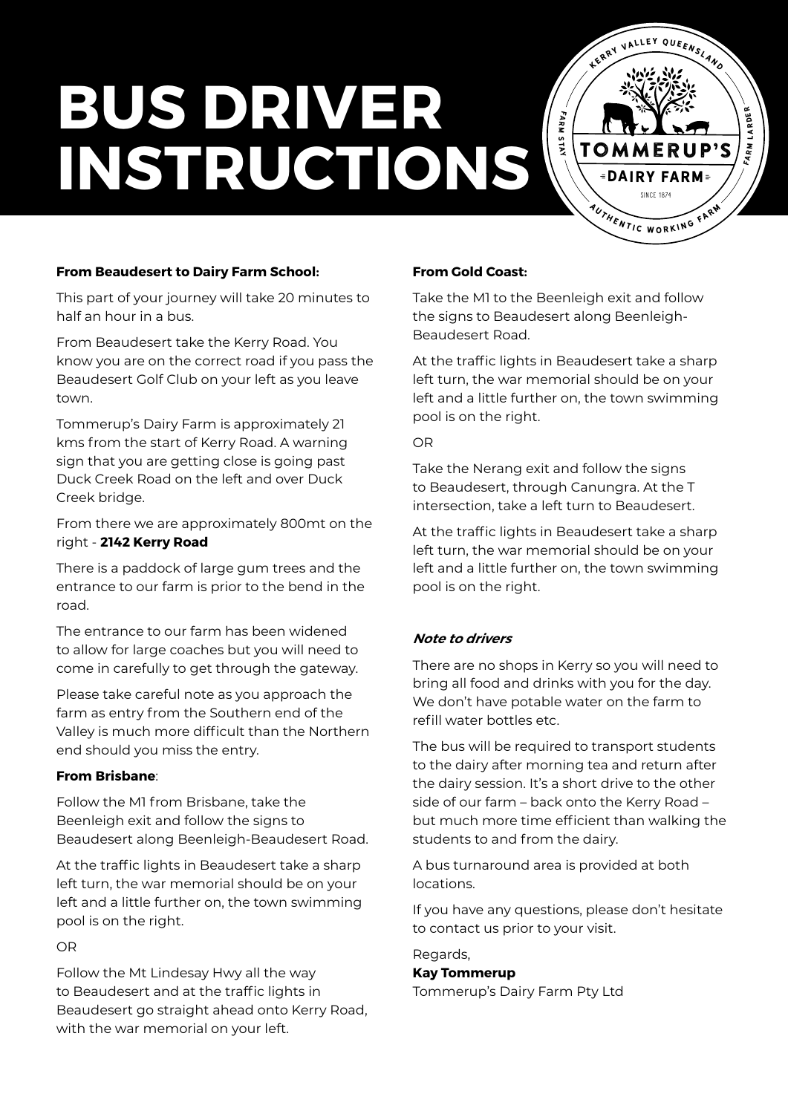# **BUS DRIVER INSTRUCTIONS**

**From Beaudesert to Dairy Farm School:** 

This part of your journey will take 20 minutes to half an hour in a bus.

From Beaudesert take the Kerry Road. You know you are on the correct road if you pass the Beaudesert Golf Club on your left as you leave town.

Tommerup's Dairy Farm is approximately 21 kms from the start of Kerry Road. A warning sign that you are getting close is going past Duck Creek Road on the left and over Duck Creek bridge.

From there we are approximately 800mt on the right - **2142 Kerry Road**

There is a paddock of large gum trees and the entrance to our farm is prior to the bend in the road.

The entrance to our farm has been widened to allow for large coaches but you will need to come in carefully to get through the gateway.

Please take careful note as you approach the farm as entry from the Southern end of the Valley is much more difficult than the Northern end should you miss the entry.

#### **From Brisbane**:

Follow the M1 from Brisbane, take the Beenleigh exit and follow the signs to Beaudesert along Beenleigh-Beaudesert Road.

At the traffic lights in Beaudesert take a sharp left turn, the war memorial should be on your left and a little further on, the town swimming pool is on the right.

#### OR

Follow the Mt Lindesay Hwy all the way to Beaudesert and at the traffic lights in Beaudesert go straight ahead onto Kerry Road, with the war memorial on your left.

#### **From Gold Coast:**

Take the M1 to the Beenleigh exit and follow the signs to Beaudesert along Beenleigh-Beaudesert Road.

fa r m s tay

Tommerup's

KLLEY QUEENSLAND

FARM LARDER **RM LARDEF** 

**SINCE 1874** *<u>DAIRY FARM</u>* 

AUTHENTIC WORKING FARM

At the traffic lights in Beaudesert take a sharp left turn, the war memorial should be on your left and a little further on, the town swimming pool is on the right.

#### OR

Take the Nerang exit and follow the signs to Beaudesert, through Canungra. At the T intersection, take a left turn to Beaudesert.

At the traffic lights in Beaudesert take a sharp left turn, the war memorial should be on your left and a little further on, the town swimming pool is on the right.

#### **Note to drivers**

There are no shops in Kerry so you will need to bring all food and drinks with you for the day. We don't have potable water on the farm to refill water bottles etc.

The bus will be required to transport students to the dairy after morning tea and return after the dairy session. It's a short drive to the other side of our farm – back onto the Kerry Road – but much more time efficient than walking the students to and from the dairy.

A bus turnaround area is provided at both locations.

If you have any questions, please don't hesitate to contact us prior to your visit.

Regards,

#### **Kay Tommerup**

Tommerup's Dairy Farm Pty Ltd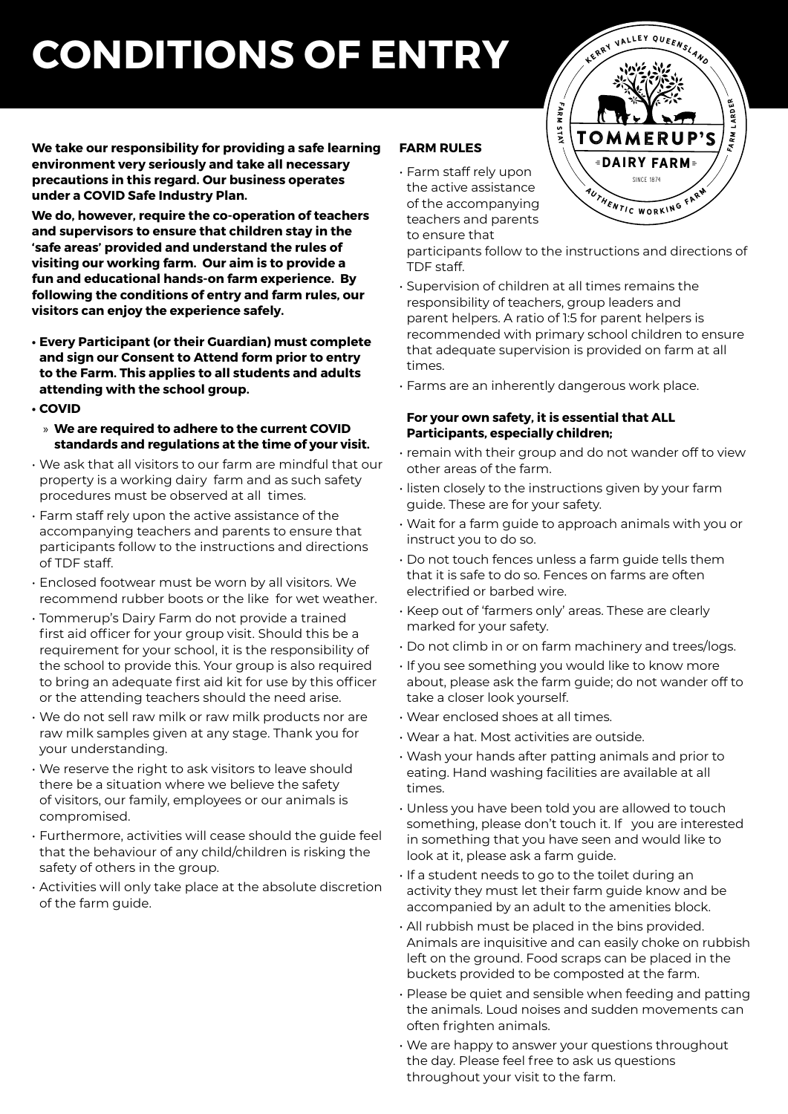# **CONDITIONS OF ENTRY**

**We take our responsibility for providing a safe learning environment very seriously and take all necessary precautions in this regard. Our business operates under a COVID Safe Industry Plan.**

**We do, however, require the co-operation of teachers and supervisors to ensure that children stay in the 'safe areas' provided and understand the rules of visiting our working farm. Our aim is to provide a fun and educational hands-on farm experience. By following the conditions of entry and farm rules, our visitors can enjoy the experience safely.**

- **• Every Participant (or their Guardian) must complete and sign our Consent to Attend form prior to entry to the Farm. This applies to all students and adults attending with the school group.**
- **• COVID**
	- » **We are required to adhere to the current COVID standards and regulations at the time of your visit.**
- We ask that all visitors to our farm are mindful that our property is a working dairy farm and as such safety procedures must be observed at all times.
- Farm staff rely upon the active assistance of the accompanying teachers and parents to ensure that participants follow to the instructions and directions of TDF staff.
- Enclosed footwear must be worn by all visitors. We recommend rubber boots or the like for wet weather.
- Tommerup's Dairy Farm do not provide a trained first aid officer for your group visit. Should this be a requirement for your school, it is the responsibility of the school to provide this. Your group is also required to bring an adequate first aid kit for use by this officer or the attending teachers should the need arise.
- We do not sell raw milk or raw milk products nor are raw milk samples given at any stage. Thank you for your understanding.
- We reserve the right to ask visitors to leave should there be a situation where we believe the safety of visitors, our family, employees or our animals is compromised.
- Furthermore, activities will cease should the guide feel that the behaviour of any child/children is risking the safety of others in the group.
- Activities will only take place at the absolute discretion of the farm guide.

#### **FARM RULES**

• Farm staff rely upon the active assistance of the accompanying teachers and parents to ensure that

participants follow to the instructions and directions of TDF staff.

- Supervision of children at all times remains the responsibility of teachers, group leaders and parent helpers. A ratio of 1:5 for parent helpers is recommended with primary school children to ensure that adequate supervision is provided on farm at all times.
- Farms are an inherently dangerous work place.

#### **For your own safety, it is essential that ALL Participants, especially children;**

- remain with their group and do not wander off to view other areas of the farm.
- listen closely to the instructions given by your farm guide. These are for your safety.
- Wait for a farm guide to approach animals with you or instruct you to do so.
- Do not touch fences unless a farm guide tells them that it is safe to do so. Fences on farms are often electrified or barbed wire.
- Keep out of 'farmers only' areas. These are clearly marked for your safety.
- Do not climb in or on farm machinery and trees/logs.
- If you see something you would like to know more about, please ask the farm guide; do not wander off to take a closer look yourself.
- Wear enclosed shoes at all times.
- Wear a hat. Most activities are outside.
- Wash your hands after patting animals and prior to eating. Hand washing facilities are available at all times.
- Unless you have been told you are allowed to touch something, please don't touch it. If you are interested in something that you have seen and would like to look at it, please ask a farm guide.
- If a student needs to go to the toilet during an activity they must let their farm guide know and be accompanied by an adult to the amenities block.
- All rubbish must be placed in the bins provided. Animals are inquisitive and can easily choke on rubbish left on the ground. Food scraps can be placed in the buckets provided to be composted at the farm.
- Please be quiet and sensible when feeding and patting the animals. Loud noises and sudden movements can often frighten animals.
- We are happy to answer your questions throughout the day. Please feel free to ask us questions throughout your visit to the farm.

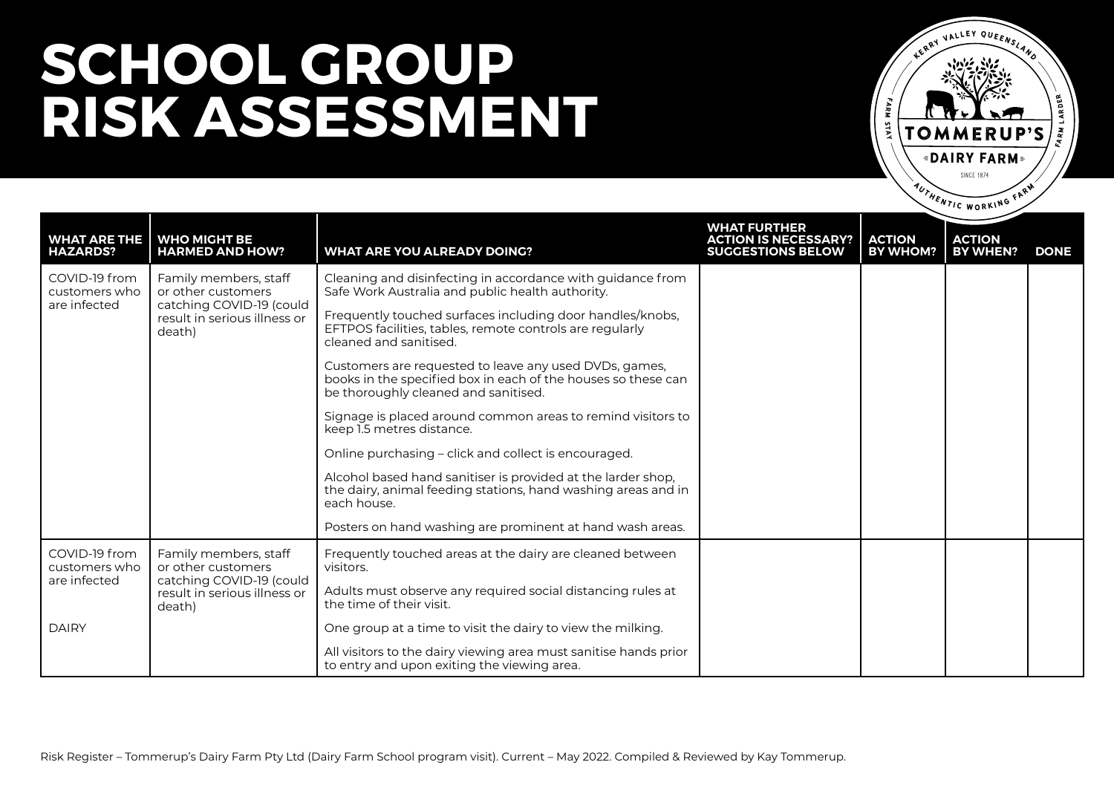

| <b>WHAT ARE THE   WHO MIGHT BE</b><br><b>HAZARDS?</b> | <b>HARMED AND HOW?</b>                                                                                            | <b>WHAT ARE YOU ALREADY DOING?</b>                                                                                                                              | <b>WHAT FURTHER</b><br><b>ACTION IS NECESSARY?</b><br><b>SUGGESTIONS BELOW</b> | <b>ACTION</b><br><b>BY WHOM?</b> | <b>ACTION</b><br><b>BY WHEN?</b> | <b>DONE</b> |
|-------------------------------------------------------|-------------------------------------------------------------------------------------------------------------------|-----------------------------------------------------------------------------------------------------------------------------------------------------------------|--------------------------------------------------------------------------------|----------------------------------|----------------------------------|-------------|
| COVID-19 from<br>customers who                        | Family members, staff<br>or other customers<br>catching COVID-19 (could<br>result in serious illness or<br>death) | Cleaning and disinfecting in accordance with guidance from<br>Safe Work Australia and public health authority.                                                  |                                                                                |                                  |                                  |             |
| are infected                                          |                                                                                                                   | Frequently touched surfaces including door handles/knobs,<br>EFTPOS facilities, tables, remote controls are regularly<br>cleaned and sanitised.                 |                                                                                |                                  |                                  |             |
|                                                       |                                                                                                                   | Customers are requested to leave any used DVDs, games,<br>books in the specified box in each of the houses so these can<br>be thoroughly cleaned and sanitised. |                                                                                |                                  |                                  |             |
|                                                       |                                                                                                                   | Signage is placed around common areas to remind visitors to<br>keep 1.5 metres distance.                                                                        |                                                                                |                                  |                                  |             |
|                                                       |                                                                                                                   | Online purchasing – click and collect is encouraged.                                                                                                            |                                                                                |                                  |                                  |             |
|                                                       |                                                                                                                   | Alcohol based hand sanitiser is provided at the larder shop,<br>the dairy, animal feeding stations, hand washing areas and in<br>each house.                    |                                                                                |                                  |                                  |             |
|                                                       |                                                                                                                   | Posters on hand washing are prominent at hand wash areas.                                                                                                       |                                                                                |                                  |                                  |             |
| COVID-19 from<br>customers who                        | Family members, staff<br>or other customers                                                                       | Frequently touched areas at the dairy are cleaned between<br>visitors.                                                                                          |                                                                                |                                  |                                  |             |
| are infected                                          | catching COVID-19 (could<br>result in serious illness or<br>death)                                                | Adults must observe any required social distancing rules at<br>the time of their visit.                                                                         |                                                                                |                                  |                                  |             |
| <b>DAIRY</b>                                          |                                                                                                                   | One group at a time to visit the dairy to view the milking.                                                                                                     |                                                                                |                                  |                                  |             |
|                                                       |                                                                                                                   | All visitors to the dairy viewing area must sanitise hands prior<br>to entry and upon exiting the viewing area.                                                 |                                                                                |                                  |                                  |             |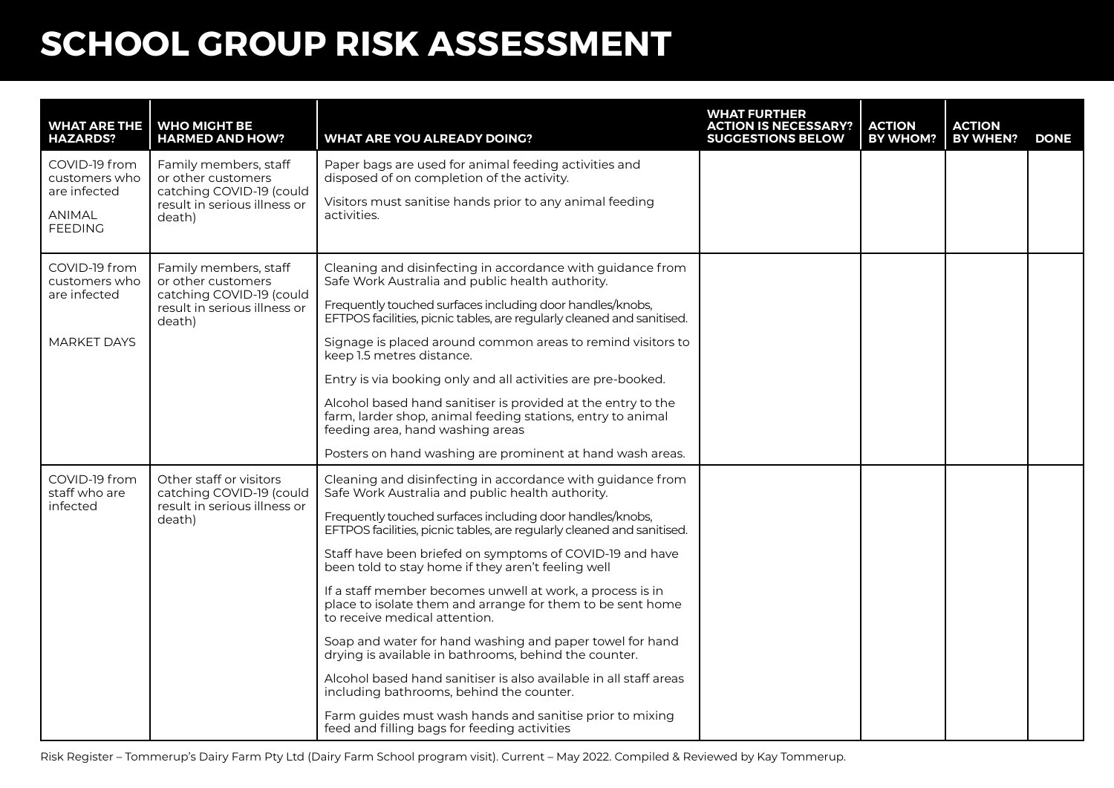| <b>WHAT ARE THE</b><br><b>HAZARDS?</b>         | WHO MIGHT BE<br><b>HARMED AND HOW?</b>                                  | <b>WHAT ARE YOU ALREADY DOING?</b>                                                                                                                              | <b>WHAT FURTHER</b><br><b>ACTION IS NECESSARY?</b><br><b>SUGGESTIONS BELOW</b> | <b>ACTION</b><br><b>BY WHOM?</b> | <b>ACTION</b><br>BY WHEN? | <b>DONE</b> |
|------------------------------------------------|-------------------------------------------------------------------------|-----------------------------------------------------------------------------------------------------------------------------------------------------------------|--------------------------------------------------------------------------------|----------------------------------|---------------------------|-------------|
| COVID-19 from<br>customers who<br>are infected | Family members, staff<br>or other customers<br>catching COVID-19 (could | Paper bags are used for animal feeding activities and<br>disposed of on completion of the activity.                                                             |                                                                                |                                  |                           |             |
| <b>ANIMAL</b><br><b>FEEDING</b>                | result in serious illness or<br>death)                                  | Visitors must sanitise hands prior to any animal feeding<br>activities.                                                                                         |                                                                                |                                  |                           |             |
| COVID-19 from<br>customers who                 | Family members, staff<br>or other customers                             | Cleaning and disinfecting in accordance with guidance from<br>Safe Work Australia and public health authority.                                                  |                                                                                |                                  |                           |             |
| are infected                                   | catching COVID-19 (could<br>result in serious illness or<br>death)      | Frequently touched surfaces including door handles/knobs,<br>EFTPOS facilities, picnic tables, are regularly cleaned and sanitised.                             |                                                                                |                                  |                           |             |
| <b>MARKET DAYS</b>                             |                                                                         | Signage is placed around common areas to remind visitors to<br>keep 1.5 metres distance.                                                                        |                                                                                |                                  |                           |             |
|                                                |                                                                         | Entry is via booking only and all activities are pre-booked.                                                                                                    |                                                                                |                                  |                           |             |
|                                                |                                                                         | Alcohol based hand sanitiser is provided at the entry to the<br>farm, larder shop, animal feeding stations, entry to animal<br>feeding area, hand washing areas |                                                                                |                                  |                           |             |
|                                                |                                                                         | Posters on hand washing are prominent at hand wash areas.                                                                                                       |                                                                                |                                  |                           |             |
| COVID-19 from<br>staff who are<br>infected     | Other staff or visitors<br>catching COVID-19 (could                     | Cleaning and disinfecting in accordance with guidance from<br>Safe Work Australia and public health authority.                                                  |                                                                                |                                  |                           |             |
|                                                | result in serious illness or<br>death)                                  | Frequently touched surfaces including door handles/knobs,<br>EFTPOS facilities, picnic tables, are regularly cleaned and sanitised.                             |                                                                                |                                  |                           |             |
|                                                |                                                                         | Staff have been briefed on symptoms of COVID-19 and have<br>been told to stay home if they aren't feeling well                                                  |                                                                                |                                  |                           |             |
|                                                |                                                                         | If a staff member becomes unwell at work, a process is in<br>place to isolate them and arrange for them to be sent home<br>to receive medical attention.        |                                                                                |                                  |                           |             |
|                                                |                                                                         | Soap and water for hand washing and paper towel for hand<br>drying is available in bathrooms, behind the counter.                                               |                                                                                |                                  |                           |             |
|                                                |                                                                         | Alcohol based hand sanitiser is also available in all staff areas<br>including bathrooms, behind the counter.                                                   |                                                                                |                                  |                           |             |
|                                                |                                                                         | Farm guides must wash hands and sanitise prior to mixing<br>feed and filling bags for feeding activities                                                        |                                                                                |                                  |                           |             |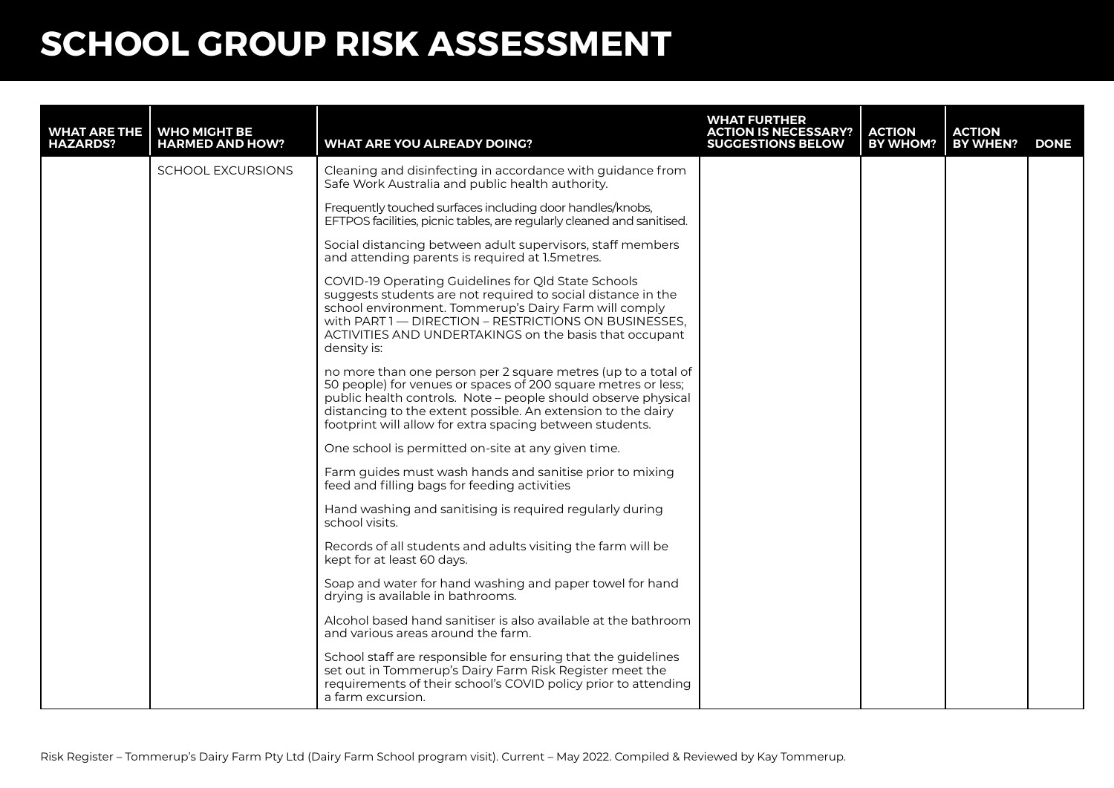| <b>WHAT ARE THE</b><br><b>HAZARDS?</b> | <b>WHO MIGHT BE</b><br><b>HARMED AND HOW?</b> | <b>WHAT ARE YOU ALREADY DOING?</b>                                                                                                                                                                                                                                                                                          | <b>WHAT FURTHER</b><br><b>ACTION IS NECESSARY?</b><br><b>SUGGESTIONS BELOW</b> | <b>ACTION</b><br><b>BY WHOM?</b> | ACTION<br><b>BY WHEN?</b> | <b>DONE</b> |
|----------------------------------------|-----------------------------------------------|-----------------------------------------------------------------------------------------------------------------------------------------------------------------------------------------------------------------------------------------------------------------------------------------------------------------------------|--------------------------------------------------------------------------------|----------------------------------|---------------------------|-------------|
|                                        | <b>SCHOOL EXCURSIONS</b>                      | Cleaning and disinfecting in accordance with guidance from<br>Safe Work Australia and public health authority.                                                                                                                                                                                                              |                                                                                |                                  |                           |             |
|                                        |                                               | Frequently touched surfaces including door handles/knobs,<br>EFTPOS facilities, picnic tables, are regularly cleaned and sanitised.                                                                                                                                                                                         |                                                                                |                                  |                           |             |
|                                        |                                               | Social distancing between adult supervisors, staff members<br>and attending parents is required at 1.5 metres.                                                                                                                                                                                                              |                                                                                |                                  |                           |             |
|                                        |                                               | COVID-19 Operating Guidelines for QId State Schools<br>suggests students are not required to social distance in the<br>school environment. Tommerup's Dairy Farm will comply<br>with PART 1 - DIRECTION - RESTRICTIONS ON BUSINESSES,<br>ACTIVITIES AND UNDERTAKINGS on the basis that occupant<br>density is:              |                                                                                |                                  |                           |             |
|                                        |                                               | no more than one person per 2 square metres (up to a total of<br>50 people) for venues or spaces of 200 square metres or less;<br>public health controls. Note - people should observe physical<br>distancing to the extent possible. An extension to the dairy<br>footprint will allow for extra spacing between students. |                                                                                |                                  |                           |             |
|                                        |                                               | One school is permitted on-site at any given time.                                                                                                                                                                                                                                                                          |                                                                                |                                  |                           |             |
|                                        |                                               | Farm guides must wash hands and sanitise prior to mixing<br>feed and filling bags for feeding activities                                                                                                                                                                                                                    |                                                                                |                                  |                           |             |
|                                        |                                               | Hand washing and sanitising is required regularly during<br>school visits.                                                                                                                                                                                                                                                  |                                                                                |                                  |                           |             |
|                                        |                                               | Records of all students and adults visiting the farm will be<br>kept for at least 60 days.                                                                                                                                                                                                                                  |                                                                                |                                  |                           |             |
|                                        |                                               | Soap and water for hand washing and paper towel for hand<br>drying is available in bathrooms.                                                                                                                                                                                                                               |                                                                                |                                  |                           |             |
|                                        |                                               | Alcohol based hand sanitiser is also available at the bathroom<br>and various areas around the farm.                                                                                                                                                                                                                        |                                                                                |                                  |                           |             |
|                                        |                                               | School staff are responsible for ensuring that the guidelines<br>set out in Tommerup's Dairy Farm Risk Register meet the<br>requirements of their school's COVID policy prior to attending<br>a farm excursion.                                                                                                             |                                                                                |                                  |                           |             |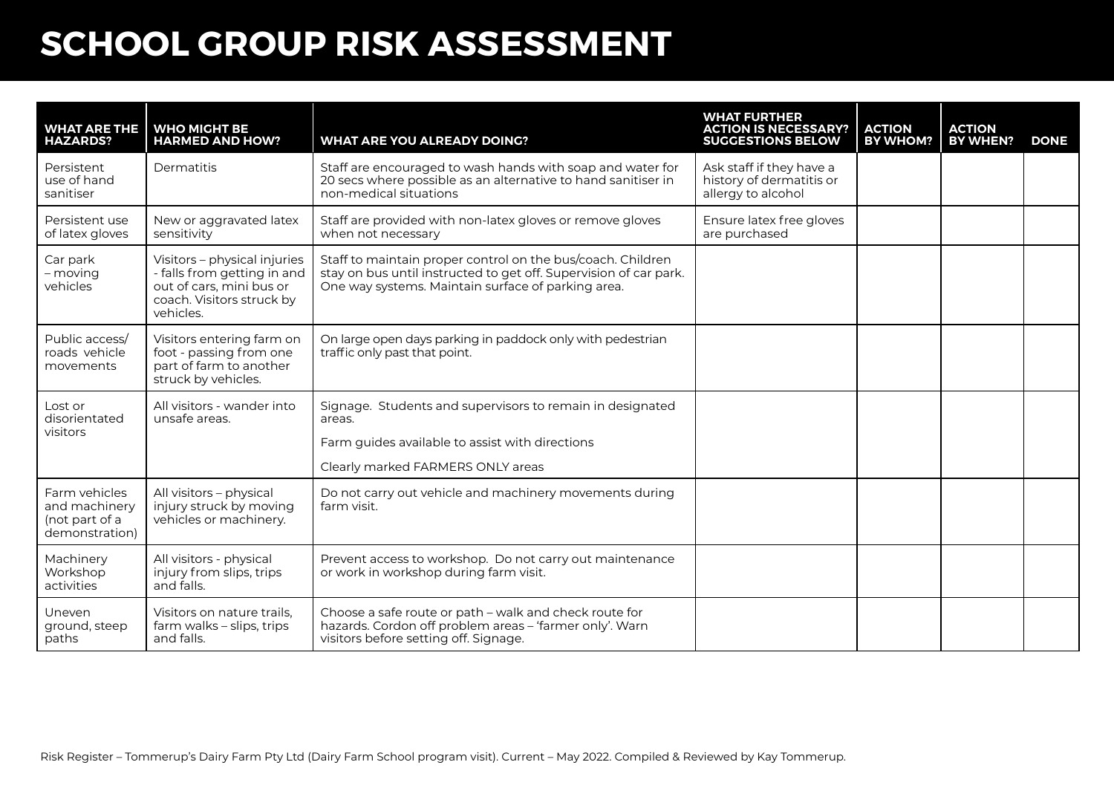| <b>HAZARDS?</b>                                                    | <b>WHAT ARE THE WHO MIGHT BE</b><br><b>HARMED AND HOW?</b>                                                                        | <b>WHAT ARE YOU ALREADY DOING?</b>                                                                                                                                                     | <b>WHAT FURTHER</b><br><b>ACTION IS NECESSARY?</b><br><b>SUGGESTIONS BELOW</b> | <b>ACTION</b><br><b>BY WHOM?</b> | <b>ACTION</b><br>BY WHEN? | <b>DONE</b> |
|--------------------------------------------------------------------|-----------------------------------------------------------------------------------------------------------------------------------|----------------------------------------------------------------------------------------------------------------------------------------------------------------------------------------|--------------------------------------------------------------------------------|----------------------------------|---------------------------|-------------|
| Persistent<br>use of hand<br>sanitiser                             | Dermatitis                                                                                                                        | Staff are encouraged to wash hands with soap and water for<br>20 secs where possible as an alternative to hand sanitiser in<br>non-medical situations                                  | Ask staff if they have a<br>history of dermatitis or<br>allergy to alcohol     |                                  |                           |             |
| Persistent use<br>of latex gloves                                  | New or aggravated latex<br>sensitivity                                                                                            | Staff are provided with non-latex gloves or remove gloves<br>when not necessary                                                                                                        | Ensure latex free gloves<br>are purchased                                      |                                  |                           |             |
| Car park<br>- moving<br>vehicles                                   | Visitors - physical injuries<br>- falls from getting in and<br>out of cars, mini bus or<br>coach. Visitors struck by<br>vehicles. | Staff to maintain proper control on the bus/coach. Children<br>stay on bus until instructed to get off. Supervision of car park.<br>One way systems. Maintain surface of parking area. |                                                                                |                                  |                           |             |
| Public access/<br>roads vehicle<br>movements                       | Visitors entering farm on<br>foot - passing from one<br>part of farm to another<br>struck by vehicles.                            | On large open days parking in paddock only with pedestrian<br>traffic only past that point.                                                                                            |                                                                                |                                  |                           |             |
| Lost or<br>disorientated<br>visitors                               | All visitors - wander into<br>unsafe areas.                                                                                       | Signage. Students and supervisors to remain in designated<br>areas.<br>Farm guides available to assist with directions<br>Clearly marked FARMERS ONLY areas                            |                                                                                |                                  |                           |             |
| Farm vehicles<br>and machinery<br>(not part of a<br>demonstration) | All visitors - physical<br>injury struck by moving<br>vehicles or machinery.                                                      | Do not carry out vehicle and machinery movements during<br>farm visit.                                                                                                                 |                                                                                |                                  |                           |             |
| Machinery<br>Workshop<br>activities                                | All visitors - physical<br>injury from slips, trips<br>and falls.                                                                 | Prevent access to workshop. Do not carry out maintenance<br>or work in workshop during farm visit.                                                                                     |                                                                                |                                  |                           |             |
| Uneven<br>ground, steep<br>paths                                   | Visitors on nature trails,<br>farm walks - slips, trips<br>and falls.                                                             | Choose a safe route or path - walk and check route for<br>hazards. Cordon off problem areas - 'farmer only'. Warn<br>visitors before setting off. Signage.                             |                                                                                |                                  |                           |             |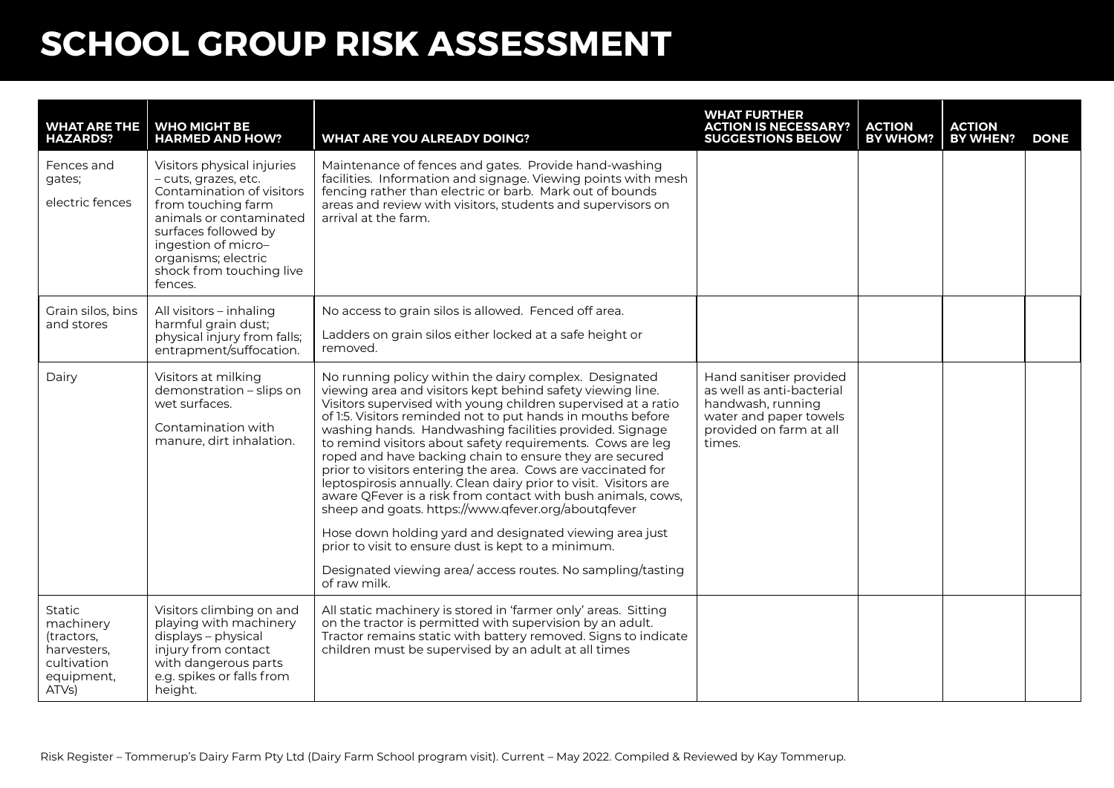| <b>WHAT ARE THE</b><br><b>HAZARDS?</b>                                                        | <b>WHO MIGHT BE</b><br><b>HARMED AND HOW?</b>                                                                                                                                                                                                 | <b>WHAT ARE YOU ALREADY DOING?</b>                                                                                                                                                                                                                                                                                                                                                                                                                                                                                                                                                                                                                                                                                                                                                                                                                                                                  | <b>WHAT FURTHER</b><br><b>ACTION IS NECESSARY?</b><br><b>SUGGESTIONS BELOW</b>                                                           | <b>ACTION</b><br><b>BY WHOM?</b> | <b>ACTION</b><br>BY WHEN? | <b>DONE</b> |
|-----------------------------------------------------------------------------------------------|-----------------------------------------------------------------------------------------------------------------------------------------------------------------------------------------------------------------------------------------------|-----------------------------------------------------------------------------------------------------------------------------------------------------------------------------------------------------------------------------------------------------------------------------------------------------------------------------------------------------------------------------------------------------------------------------------------------------------------------------------------------------------------------------------------------------------------------------------------------------------------------------------------------------------------------------------------------------------------------------------------------------------------------------------------------------------------------------------------------------------------------------------------------------|------------------------------------------------------------------------------------------------------------------------------------------|----------------------------------|---------------------------|-------------|
| Fences and<br>gates;<br>electric fences                                                       | Visitors physical injuries<br>- cuts, grazes, etc.<br>Contamination of visitors<br>from touching farm<br>animals or contaminated<br>surfaces followed by<br>ingestion of micro-<br>organisms; electric<br>shock from touching live<br>fences. | Maintenance of fences and gates. Provide hand-washing<br>facilities. Information and signage. Viewing points with mesh<br>fencing rather than electric or barb. Mark out of bounds<br>areas and review with visitors, students and supervisors on<br>arrival at the farm.                                                                                                                                                                                                                                                                                                                                                                                                                                                                                                                                                                                                                           |                                                                                                                                          |                                  |                           |             |
| Grain silos, bins<br>and stores                                                               | All visitors - inhaling<br>harmful grain dust;<br>physical injury from falls;<br>entrapment/suffocation.                                                                                                                                      | No access to grain silos is allowed. Fenced off area.<br>Ladders on grain silos either locked at a safe height or<br>removed.                                                                                                                                                                                                                                                                                                                                                                                                                                                                                                                                                                                                                                                                                                                                                                       |                                                                                                                                          |                                  |                           |             |
| Dairy                                                                                         | Visitors at milking<br>demonstration - slips on<br>wet surfaces.<br>Contamination with<br>manure, dirt inhalation.                                                                                                                            | No running policy within the dairy complex. Designated<br>viewing area and visitors kept behind safety viewing line.<br>Visitors supervised with young children supervised at a ratio<br>of 1:5. Visitors reminded not to put hands in mouths before<br>washing hands. Handwashing facilities provided. Signage<br>to remind visitors about safety requirements. Cows are leg<br>roped and have backing chain to ensure they are secured<br>prior to visitors entering the area. Cows are vaccinated for<br>leptospirosis annually. Clean dairy prior to visit. Visitors are<br>aware QFever is a risk from contact with bush animals, cows,<br>sheep and goats. https://www.qfever.org/aboutqfever<br>Hose down holding yard and designated viewing area just<br>prior to visit to ensure dust is kept to a minimum.<br>Designated viewing area/access routes. No sampling/tasting<br>of raw milk. | Hand sanitiser provided<br>as well as anti-bacterial<br>handwash, running<br>water and paper towels<br>provided on farm at all<br>times. |                                  |                           |             |
| <b>Static</b><br>machinery<br>(tractors,<br>harvesters.<br>cultivation<br>equipment,<br>ATVs) | Visitors climbing on and<br>playing with machinery<br>displays - physical<br>injury from contact<br>with dangerous parts<br>e.g. spikes or falls from<br>height.                                                                              | All static machinery is stored in 'farmer only' areas. Sitting<br>on the tractor is permitted with supervision by an adult.<br>Tractor remains static with battery removed. Signs to indicate<br>children must be supervised by an adult at all times                                                                                                                                                                                                                                                                                                                                                                                                                                                                                                                                                                                                                                               |                                                                                                                                          |                                  |                           |             |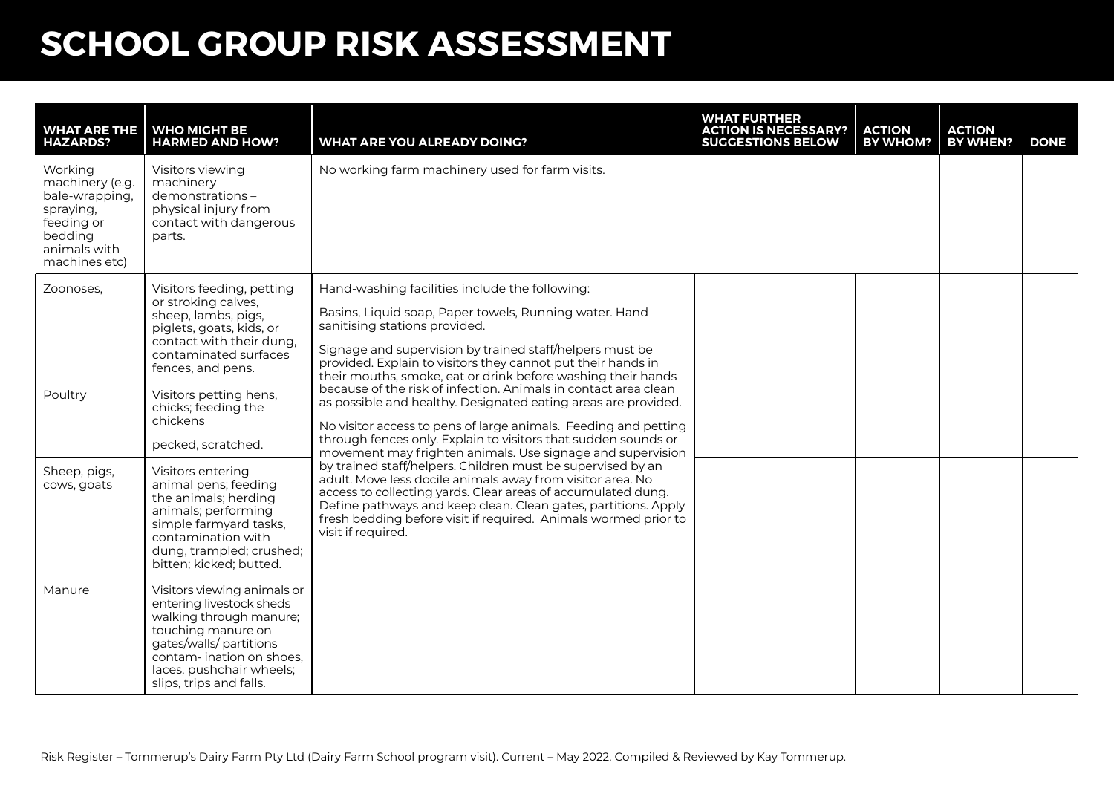| <b>WHAT ARE THE</b><br><b>HAZARDS?</b>                                                                              | <b>WHO MIGHT BE</b><br><b>HARMED AND HOW?</b>                                                                                                                                                                          | <b>WHAT ARE YOU ALREADY DOING?</b>                                                                                                                                                                                                                                                                                                                   | <b>WHAT FURTHER</b><br><b>ACTION IS NECESSARY?</b><br><b>SUGGESTIONS BELOW</b> | <b>ACTION</b><br><b>BY WHOM?</b> | <b>ACTION</b><br><b>BY WHEN?</b> | <b>DONE</b> |
|---------------------------------------------------------------------------------------------------------------------|------------------------------------------------------------------------------------------------------------------------------------------------------------------------------------------------------------------------|------------------------------------------------------------------------------------------------------------------------------------------------------------------------------------------------------------------------------------------------------------------------------------------------------------------------------------------------------|--------------------------------------------------------------------------------|----------------------------------|----------------------------------|-------------|
| Working<br>machinery (e.g.<br>bale-wrapping,<br>spraying,<br>feeding or<br>bedding<br>animals with<br>machines etc) | Visitors viewing<br>machinery<br>demonstrations-<br>physical injury from<br>contact with dangerous<br>parts.                                                                                                           | No working farm machinery used for farm visits.                                                                                                                                                                                                                                                                                                      |                                                                                |                                  |                                  |             |
| Zoonoses,                                                                                                           | Visitors feeding, petting<br>or stroking calves,<br>sheep, lambs, pigs,<br>piglets, goats, kids, or<br>contact with their dung,<br>contaminated surfaces<br>fences, and pens.                                          | Hand-washing facilities include the following:<br>Basins, Liquid soap, Paper towels, Running water. Hand<br>sanitising stations provided.<br>Signage and supervision by trained staff/helpers must be<br>provided. Explain to visitors they cannot put their hands in<br>their mouths, smoke, eat or drink before washing their hands                |                                                                                |                                  |                                  |             |
| Poultry                                                                                                             | Visitors petting hens,<br>chicks; feeding the<br>chickens<br>pecked, scratched.                                                                                                                                        | because of the risk of infection. Animals in contact area clean<br>as possible and healthy. Designated eating areas are provided.<br>No visitor access to pens of large animals. Feeding and petting<br>through fences only. Explain to visitors that sudden sounds or<br>movement may frighten animals. Use signage and supervision                 |                                                                                |                                  |                                  |             |
| Sheep, pigs,<br>cows, goats                                                                                         | Visitors entering<br>animal pens; feeding<br>the animals; herding<br>animals; performing<br>simple farmyard tasks,<br>contamination with<br>dung, trampled; crushed;<br>bitten; kicked; butted.                        | by trained staff/helpers. Children must be supervised by an<br>adult. Move less docile animals away from visitor area. No<br>access to collecting yards. Clear areas of accumulated dung.<br>Define pathways and keep clean. Clean gates, partitions. Apply<br>fresh bedding before visit if required. Animals wormed prior to<br>visit if required. |                                                                                |                                  |                                  |             |
| Manure                                                                                                              | Visitors viewing animals or<br>entering livestock sheds<br>walking through manure;<br>touching manure on<br>gates/walls/ partitions<br>contam-ination on shoes.<br>laces, pushchair wheels;<br>slips, trips and falls. |                                                                                                                                                                                                                                                                                                                                                      |                                                                                |                                  |                                  |             |